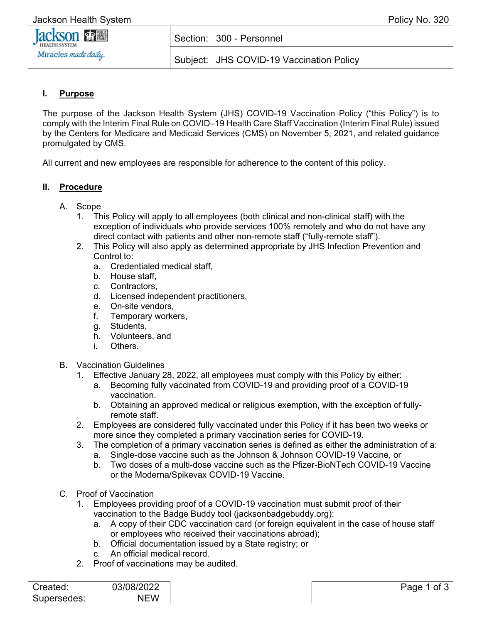

### Section: 300 - Personnel

Subject: JHS COVID-19 Vaccination Policy

# **I. Purpose**

The purpose of the Jackson Health System (JHS) COVID-19 Vaccination Policy ("this Policy") is to comply with the Interim Final Rule on COVID–19 Health Care Staff Vaccination (Interim Final Rule) issued by the Centers for Medicare and Medicaid Services (CMS) on November 5, 2021, and related guidance promulgated by CMS.

All current and new employees are responsible for adherence to the content of this policy.

#### **II. Procedure**

#### A. Scope

- 1. This Policy will apply to all employees (both clinical and non-clinical staff) with the exception of individuals who provide services 100% remotely and who do not have any direct contact with patients and other non-remote staff ("fully-remote staff").
- 2. This Policy will also apply as determined appropriate by JHS Infection Prevention and Control to:
	- a. Credentialed medical staff,
	- b. House staff,
	- c. Contractors,
	- d. Licensed independent practitioners,
	- e. On-site vendors,
	- f. Temporary workers,
	- g. Students,
	- h. Volunteers, and
	- i. Others.
- B. Vaccination Guidelines
	- 1. Effective January 28, 2022, all employees must comply with this Policy by either:
		- a. Becoming fully vaccinated from COVID-19 and providing proof of a COVID-19 vaccination.
		- b. Obtaining an approved medical or religious exemption, with the exception of fullyremote staff.
	- 2. Employees are considered fully vaccinated under this Policy if it has been two weeks or more since they completed a primary vaccination series for COVID-19.
	- 3. The completion of a primary vaccination series is defined as either the administration of a:
		- a. Single-dose vaccine such as the Johnson & Johnson COVID-19 Vaccine, or
		- b. Two doses of a multi-dose vaccine such as the Pfizer-BioNTech COVID-19 Vaccine or the Moderna/Spikevax COVID-19 Vaccine.
- C. Proof of Vaccination
	- 1. Employees providing proof of a COVID-19 vaccination must submit proof of their vaccination to the Badge Buddy tool (jacksonbadgebuddy.org):
		- a. A copy of their CDC vaccination card (or foreign equivalent in the case of house staff or employees who received their vaccinations abroad);
		- b. Official documentation issued by a State registry; or
		- c. An official medical record.
	- 2. Proof of vaccinations may be audited.

| Created:    | 03/08/2022 |
|-------------|------------|
| Supersedes: | <b>NFW</b> |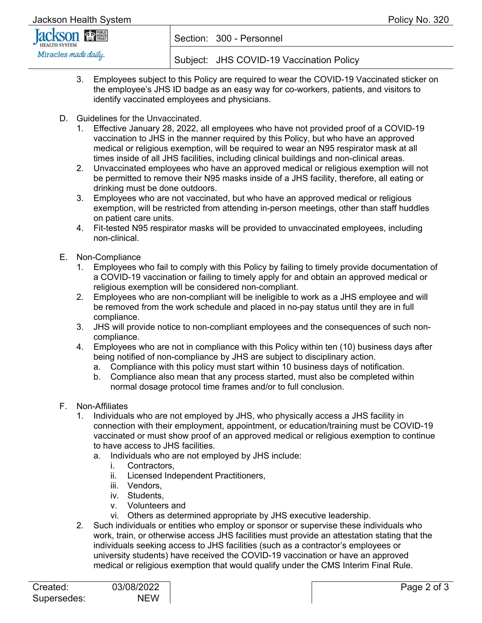| Jackson Health System |                                          | Policy No. 320 |
|-----------------------|------------------------------------------|----------------|
| <b>Jackson FREE</b>   | Section: 300 - Personnel                 |                |
| Miracles made daily.  | Subject: JHS COVID-19 Vaccination Policy |                |

- 3. Employees subject to this Policy are required to wear the COVID-19 Vaccinated sticker on the employee's JHS ID badge as an easy way for co-workers, patients, and visitors to identify vaccinated employees and physicians.
- D. Guidelines for the Unvaccinated.
	- 1. Effective January 28, 2022, all employees who have not provided proof of a COVID-19 vaccination to JHS in the manner required by this Policy, but who have an approved medical or religious exemption, will be required to wear an N95 respirator mask at all times inside of all JHS facilities, including clinical buildings and non-clinical areas.
	- 2. Unvaccinated employees who have an approved medical or religious exemption will not be permitted to remove their N95 masks inside of a JHS facility, therefore, all eating or drinking must be done outdoors.
	- 3. Employees who are not vaccinated, but who have an approved medical or religious exemption, will be restricted from attending in-person meetings, other than staff huddles on patient care units.
	- 4. Fit-tested N95 respirator masks will be provided to unvaccinated employees, including non-clinical.
- E. Non-Compliance
	- 1. Employees who fail to comply with this Policy by failing to timely provide documentation of a COVID-19 vaccination or failing to timely apply for and obtain an approved medical or religious exemption will be considered non-compliant.
	- 2. Employees who are non-compliant will be ineligible to work as a JHS employee and will be removed from the work schedule and placed in no-pay status until they are in full compliance.
	- 3. JHS will provide notice to non-compliant employees and the consequences of such noncompliance.
	- 4. Employees who are not in compliance with this Policy within ten (10) business days after being notified of non-compliance by JHS are subject to disciplinary action.
		- a. Compliance with this policy must start within 10 business days of notification.
		- b. Compliance also mean that any process started, must also be completed within normal dosage protocol time frames and/or to full conclusion.
- F. Non-Affiliates
	- 1. Individuals who are not employed by JHS, who physically access a JHS facility in connection with their employment, appointment, or education/training must be COVID-19 vaccinated or must show proof of an approved medical or religious exemption to continue to have access to JHS facilities.
		- a. Individuals who are not employed by JHS include:
			- i. Contractors,
			- ii. Licensed Independent Practitioners,
			- iii. Vendors,
			- iv. Students,
			- v. Volunteers and
			- vi. Others as determined appropriate by JHS executive leadership.
	- 2. Such individuals or entities who employ or sponsor or supervise these individuals who work, train, or otherwise access JHS facilities must provide an attestation stating that the individuals seeking access to JHS facilities (such as a contractor's employees or university students) have received the COVID-19 vaccination or have an approved medical or religious exemption that would qualify under the CMS Interim Final Rule.